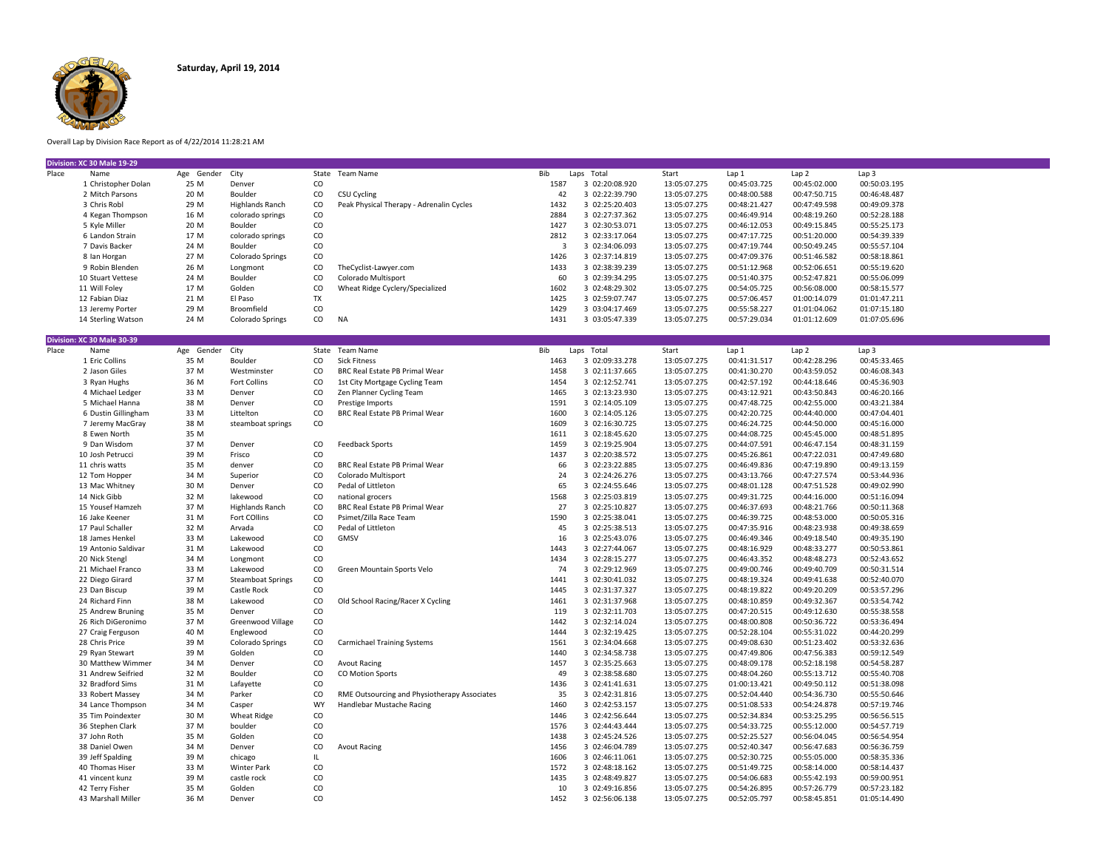## Overall Lap by Division Race Report as of 4/22/2014 11:28:21 AM

|       | Division: XC 30 Male 19-29 |            |                          |                 |                                              |                         |                |              |              |                  |                  |  |
|-------|----------------------------|------------|--------------------------|-----------------|----------------------------------------------|-------------------------|----------------|--------------|--------------|------------------|------------------|--|
| Place | Name                       | Age Gender | City                     |                 | State Team Name                              | Bib                     | Laps Total     | Start        | Lap 1        | Lap <sub>2</sub> | Lap <sub>3</sub> |  |
|       | 1 Christopher Dolan        | 25 M       | Denver                   | CO              |                                              | 1587                    | 3 02:20:08.920 | 13:05:07.275 | 00:45:03.725 | 00:45:02.000     | 00:50:03.195     |  |
|       | 2 Mitch Parsons            | 20 M       | Boulder                  | CO              | CSU Cycling                                  | 42                      | 3 02:22:39.790 | 13:05:07.275 | 00:48:00.588 | 00:47:50.715     | 00:46:48.487     |  |
|       | 3 Chris Robl               | 29 M       | <b>Highlands Ranch</b>   | CO              | Peak Physical Therapy - Adrenalin Cycles     | 1432                    | 3 02:25:20.403 | 13:05:07.275 | 00:48:21.427 | 00:47:49.598     | 00:49:09.378     |  |
|       | 4 Kegan Thompson           | 16 M       | colorado springs         | CO              |                                              | 2884                    | 3 02:27:37.362 | 13:05:07.275 | 00:46:49.914 | 00:48:19.260     | 00:52:28.188     |  |
|       |                            |            |                          |                 |                                              |                         |                |              |              |                  |                  |  |
|       | 5 Kyle Miller              | 20 M       | Boulder                  | CO              |                                              | 1427                    | 3 02:30:53.071 | 13:05:07.275 | 00:46:12.053 | 00:49:15.845     | 00:55:25.173     |  |
|       | 6 Landon Strain            | 17 M       | colorado springs         | CO              |                                              | 2812                    | 3 02:33:17.064 | 13:05:07.275 | 00:47:17.725 | 00:51:20.000     | 00:54:39.339     |  |
|       | 7 Davis Backer             | 24 M       | Boulder                  | CO              |                                              | $\overline{\mathbf{3}}$ | 3 02:34:06.093 | 13:05:07.275 | 00:47:19.744 | 00:50:49.245     | 00:55:57.104     |  |
|       | 8 Ian Horgan               | 27 M       | Colorado Springs         | CO              |                                              | 1426                    | 3 02:37:14.819 | 13:05:07.275 | 00:47:09.376 | 00:51:46.582     | 00:58:18.861     |  |
|       | 9 Robin Blenden            | 26 M       | Longmont                 | CO              | TheCyclist-Lawyer.com                        | 1433                    | 3 02:38:39.239 | 13:05:07.275 | 00:51:12.968 | 00:52:06.651     | 00:55:19.620     |  |
|       | 10 Stuart Vettese          | 24 M       | Boulder                  | CO              | Colorado Multisport                          | 60                      | 3 02:39:34.295 | 13:05:07.275 | 00:51:40.375 | 00:52:47.821     | 00:55:06.099     |  |
|       | 11 Will Foley              | 17 M       | Golden                   | CO              | Wheat Ridge Cyclery/Specialized              | 1602                    | 3 02:48:29.302 | 13:05:07.275 | 00:54:05.725 | 00:56:08.000     | 00:58:15.577     |  |
|       | 12 Fabian Diaz             | 21 M       | El Paso                  | <b>TX</b>       |                                              | 1425                    | 3 02:59:07.747 | 13:05:07.275 | 00:57:06.457 | 01:00:14.079     | 01:01:47.211     |  |
|       | 13 Jeremy Porter           | 29 M       | Broomfield               | CO              |                                              | 1429                    | 3 03:04:17.469 | 13:05:07.275 | 00:55:58.227 | 01:01:04.062     | 01:07:15.180     |  |
|       | 14 Sterling Watson         | 24 M       | Colorado Springs         | $\mathsf{co}\,$ | <b>NA</b>                                    | 1431                    | 3 03:05:47.339 | 13:05:07.275 | 00:57:29.034 | 01:01:12.609     | 01:07:05.696     |  |
|       |                            |            |                          |                 |                                              |                         |                |              |              |                  |                  |  |
|       | Division: XC 30 Male 30-39 |            |                          |                 |                                              |                         |                |              |              |                  |                  |  |
| Place | Name                       | Age Gender | City                     |                 | State Team Name                              | Bib                     | Laps Total     | Start        | Lap 1        | Lap <sub>2</sub> | Lap <sub>3</sub> |  |
|       | 1 Eric Collins             | 35 M       | Boulder                  | CO              | <b>Sick Fitness</b>                          | 1463                    | 3 02:09:33.278 | 13:05:07.275 | 00:41:31.517 | 00:42:28.296     | 00:45:33.465     |  |
|       | 2 Jason Giles              | 37 M       | Westminster              | CO              | BRC Real Estate PB Primal Wear               | 1458                    | 3 02:11:37.665 | 13:05:07.275 | 00:41:30.270 | 00:43:59.052     | 00:46:08.343     |  |
|       |                            |            |                          |                 |                                              |                         |                |              |              |                  |                  |  |
|       | 3 Ryan Hughs               | 36 M       | <b>Fort Collins</b>      | CO              | 1st City Mortgage Cycling Team               | 1454                    | 3 02:12:52.741 | 13:05:07.275 | 00:42:57.192 | 00:44:18.646     | 00:45:36.903     |  |
|       | 4 Michael Ledger           | 33 M       | Denver                   | CO              | Zen Planner Cycling Team                     | 1465                    | 3 02:13:23.930 | 13:05:07.275 | 00:43:12.921 | 00:43:50.843     | 00:46:20.166     |  |
|       | 5 Michael Hanna            | 38 M       | Denver                   | CO              | Prestige Imports                             | 1591                    | 3 02:14:05.109 | 13:05:07.275 | 00:47:48.725 | 00:42:55.000     | 00:43:21.384     |  |
|       | 6 Dustin Gillingham        | 33 M       | Littelton                | CO              | BRC Real Estate PB Primal Wear               | 1600                    | 3 02:14:05.126 | 13:05:07.275 | 00:42:20.725 | 00:44:40.000     | 00:47:04.401     |  |
|       | 7 Jeremy MacGray           | 38 M       | steamboat springs        | CO              |                                              | 1609                    | 3 02:16:30.725 | 13:05:07.275 | 00:46:24.725 | 00:44:50.000     | 00:45:16.000     |  |
|       | 8 Ewen North               | 35 M       |                          |                 |                                              | 1611                    | 3 02:18:45.620 | 13:05:07.275 | 00:44:08.725 | 00:45:45.000     | 00:48:51.895     |  |
|       | 9 Dan Wisdom               | 37 M       | Denver                   | CO              | Feedback Sports                              | 1459                    | 3 02:19:25.904 | 13:05:07.275 | 00:44:07.591 | 00:46:47.154     | 00:48:31.159     |  |
|       | 10 Josh Petrucci           | 39 M       | Frisco                   | CO              |                                              | 1437                    | 3 02:20:38.572 | 13:05:07.275 | 00:45:26.861 | 00:47:22.031     | 00:47:49.680     |  |
|       | 11 chris watts             | 35 M       | denver                   | CO              | BRC Real Estate PB Primal Wear               | 66                      | 3 02:23:22.885 | 13:05:07.275 | 00:46:49.836 | 00:47:19.890     | 00:49:13.159     |  |
|       | 12 Tom Hopper              | 34 M       | Superior                 | CO              | Colorado Multisport                          | 24                      | 3 02:24:26.276 | 13:05:07.275 | 00:43:13.766 | 00:47:27.574     | 00:53:44.936     |  |
|       | 13 Mac Whitney             | 30 M       | Denver                   | CO              | Pedal of Littleton                           | 65                      | 3 02:24:55.646 | 13:05:07.275 | 00:48:01.128 | 00:47:51.528     | 00:49:02.990     |  |
|       | 14 Nick Gibb               | 32 M       | lakewood                 | CO              | national grocers                             | 1568                    | 3 02:25:03.819 | 13:05:07.275 | 00:49:31.725 | 00:44:16.000     | 00:51:16.094     |  |
|       | 15 Yousef Hamzeh           | 37 M       | Highlands Ranch          | CO              | BRC Real Estate PB Primal Wear               | 27                      | 3 02:25:10.827 | 13:05:07.275 | 00:46:37.693 | 00:48:21.766     | 00:50:11.368     |  |
|       | 16 Jake Keener             | 31 M       | Fort COllins             | CO              | Psimet/Zilla Race Team                       | 1590                    | 3 02:25:38.041 | 13:05:07.275 | 00:46:39.725 | 00:48:53.000     | 00:50:05.316     |  |
|       | 17 Paul Schaller           | 32 M       | Arvada                   | CO              | Pedal of Littleton                           | 45                      | 3 02:25:38.513 | 13:05:07.275 | 00:47:35.916 | 00:48:23.938     |                  |  |
|       |                            |            |                          |                 |                                              |                         |                |              |              |                  | 00:49:38.659     |  |
|       | 18 James Henkel            | 33 M       | Lakewood                 | CO              | GMSV                                         | 16                      | 3 02:25:43.076 | 13:05:07.275 | 00:46:49.346 | 00:49:18.540     | 00:49:35.190     |  |
|       | 19 Antonio Saldivar        | 31 M       | Lakewood                 | CO              |                                              | 1443                    | 3 02:27:44.067 | 13:05:07.275 | 00:48:16.929 | 00:48:33.277     | 00:50:53.861     |  |
|       | 20 Nick Stengl             | 34 M       | Longmont                 | CO              |                                              | 1434                    | 3 02:28:15.277 | 13:05:07.275 | 00:46:43.352 | 00:48:48.273     | 00:52:43.652     |  |
|       | 21 Michael Franco          | 33 M       | Lakewood                 | CO              | Green Mountain Sports Velo                   | 74                      | 3 02:29:12.969 | 13:05:07.275 | 00:49:00.746 | 00:49:40.709     | 00:50:31.514     |  |
|       | 22 Diego Girard            | 37 M       | <b>Steamboat Springs</b> | CO              |                                              | 1441                    | 3 02:30:41.032 | 13:05:07.275 | 00:48:19.324 | 00:49:41.638     | 00:52:40.070     |  |
|       | 23 Dan Biscup              | 39 M       | Castle Rock              | CO              |                                              | 1445                    | 3 02:31:37.327 | 13:05:07.275 | 00:48:19.822 | 00:49:20.209     | 00:53:57.296     |  |
|       | 24 Richard Finn            | 38 M       | Lakewood                 | CO              | Old School Racing/Racer X Cycling            | 1461                    | 3 02:31:37.968 | 13:05:07.275 | 00:48:10.859 | 00:49:32.367     | 00:53:54.742     |  |
|       | 25 Andrew Bruning          | 35 M       | Denver                   | CO              |                                              | 119                     | 3 02:32:11.703 | 13:05:07.275 | 00:47:20.515 | 00:49:12.630     | 00:55:38.558     |  |
|       | 26 Rich DiGeronimo         | 37 M       | Greenwood Village        | CO              |                                              | 1442                    | 3 02:32:14.024 | 13:05:07.275 | 00:48:00.808 | 00:50:36.722     | 00:53:36.494     |  |
|       | 27 Craig Ferguson          | 40 M       | Englewood                | CO              |                                              | 1444                    | 3 02:32:19.425 | 13:05:07.275 | 00:52:28.104 | 00:55:31.022     | 00:44:20.299     |  |
|       | 28 Chris Price             | 39 M       | Colorado Springs         | CO              | <b>Carmichael Training Systems</b>           | 1561                    | 3 02:34:04.668 | 13:05:07.275 | 00:49:08.630 | 00:51:23.402     | 00:53:32.636     |  |
|       | 29 Ryan Stewart            | 39 M       | Golden                   | CO              |                                              | 1440                    | 3 02:34:58.738 | 13:05:07.275 | 00:47:49.806 | 00:47:56.383     | 00:59:12.549     |  |
|       | 30 Matthew Wimmer          | 34 M       | Denver                   | CO              | <b>Avout Racing</b>                          | 1457                    | 3 02:35:25.663 | 13:05:07.275 | 00:48:09.178 | 00:52:18.198     | 00:54:58.287     |  |
|       | 31 Andrew Seifried         | 32 M       | Boulder                  | CO              | <b>CO Motion Sports</b>                      | 49                      | 3 02:38:58.680 | 13:05:07.275 | 00:48:04.260 | 00:55:13.712     | 00:55:40.708     |  |
|       | 32 Bradford Sims           | 31 M       | Lafayette                | CO              |                                              | 1436                    | 3 02:41:41.631 | 13:05:07.275 | 01:00:13.421 | 00:49:50.112     | 00:51:38.098     |  |
|       | 33 Robert Massey           | 34 M       | Parker                   | CO              | RME Outsourcing and Physiotherapy Associates | 35                      | 3 02:42:31.816 | 13:05:07.275 | 00:52:04.440 | 00:54:36.730     | 00:55:50.646     |  |
|       |                            | 34 M       |                          | <b>WY</b>       | Handlebar Mustache Racing                    | 1460                    | 3 02:42:53.157 | 13:05:07.275 | 00:51:08.533 | 00:54:24.878     |                  |  |
|       | 34 Lance Thompson          |            | Casper                   |                 |                                              |                         |                |              |              |                  | 00:57:19.746     |  |
|       | 35 Tim Poindexter          | 30 M       | <b>Wheat Ridge</b>       | CO              |                                              | 1446                    | 3 02:42:56.644 | 13:05:07.275 | 00:52:34.834 | 00:53:25.295     | 00:56:56.515     |  |
|       | 36 Stephen Clark           | 37 M       | boulder                  | CO              |                                              | 1576                    | 3 02:44:43.444 | 13:05:07.275 | 00:54:33.725 | 00:55:12.000     | 00:54:57.719     |  |
|       | 37 John Roth               | 35 M       | Golden                   | CO              |                                              | 1438                    | 3 02:45:24.526 | 13:05:07.275 | 00:52:25.527 | 00:56:04.045     | 00:56:54.954     |  |
|       | 38 Daniel Owen             | 34 M       | Denver                   | CO              | <b>Avout Racing</b>                          | 1456                    | 3 02:46:04.789 | 13:05:07.275 | 00:52:40.347 | 00:56:47.683     | 00:56:36.759     |  |
|       | 39 Jeff Spalding           | 39 M       | chicago                  | $\sf IL$        |                                              | 1606                    | 3 02:46:11.061 | 13:05:07.275 | 00:52:30.725 | 00:55:05.000     | 00:58:35.336     |  |
|       | 40 Thomas Hiser            | 33 M       | <b>Winter Park</b>       | CO              |                                              | 1572                    | 3 02:48:18.162 | 13:05:07.275 | 00:51:49.725 | 00:58:14.000     | 00:58:14.437     |  |
|       | 41 vincent kunz            | 39 M       | castle rock              | CO              |                                              | 1435                    | 3 02:48:49.827 | 13:05:07.275 | 00:54:06.683 | 00:55:42.193     | 00:59:00.951     |  |
|       | 42 Terry Fisher            | 35 M       | Golden                   | CO              |                                              | 10                      | 3 02:49:16.856 | 13:05:07.275 | 00:54:26.895 | 00:57:26.779     | 00:57:23.182     |  |
|       | 43 Marshall Miller         | 36 M       | Denver                   | CO              |                                              | 1452                    | 3 02:56:06.138 | 13:05:07.275 | 00:52:05.797 | 00:58:45.851     | 01:05:14.490     |  |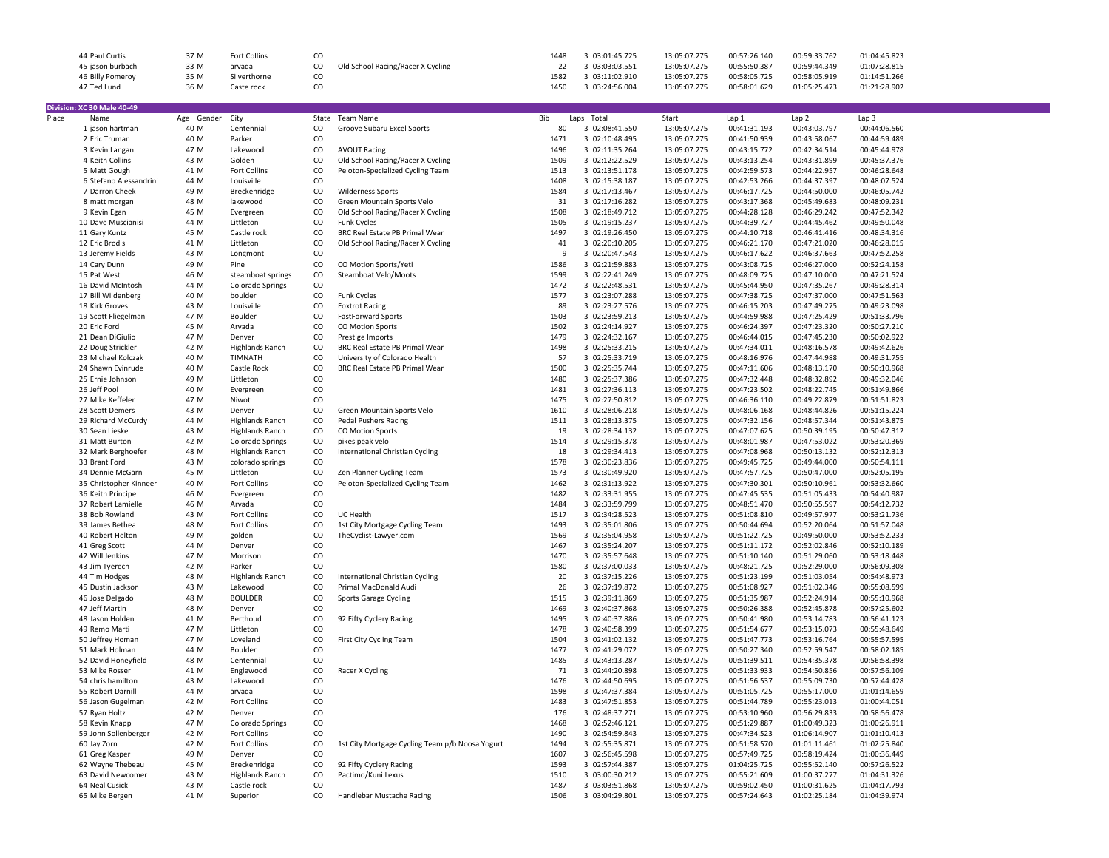|       | 44 Paul Curtis             | 37 M       | Fort Collins           | CO |                                                 | 1448 | 3 03:01:45.725 | 13:05:07.275 | 00:57:26.140 | 00:59:33.762 | 01:04:45.823     |  |
|-------|----------------------------|------------|------------------------|----|-------------------------------------------------|------|----------------|--------------|--------------|--------------|------------------|--|
|       | 45 jason burbach           | 33 M       | arvada                 | CO | Old School Racing/Racer X Cycling               | 22   | 3 03:03:03.551 | 13:05:07.275 | 00:55:50.387 | 00:59:44.349 | 01:07:28.815     |  |
|       | 46 Billy Pomeroy           | 35 M       | Silverthorne           | CO |                                                 | 1582 | 3 03:11:02.910 | 13:05:07.275 | 00:58:05.725 | 00:58:05.919 | 01:14:51.266     |  |
|       | 47 Ted Lund                | 36 M       | Caste rock             | CO |                                                 | 1450 | 3 03:24:56.004 | 13:05:07.275 | 00:58:01.629 | 01:05:25.473 | 01:21:28.902     |  |
|       |                            |            |                        |    |                                                 |      |                |              |              |              |                  |  |
|       |                            |            |                        |    |                                                 |      |                |              |              |              |                  |  |
|       | Division: XC 30 Male 40-49 |            |                        |    |                                                 |      |                |              |              |              |                  |  |
| Place | Name                       | Age Gender | City                   |    | State Team Name                                 | Bib  | Laps Total     | Start        | Lap 1        | Lap 2        | Lap <sub>3</sub> |  |
|       | 1 jason hartman            | 40 M       | Centennial             | CO | Groove Subaru Excel Sports                      | 80   | 3 02:08:41.550 | 13:05:07.275 | 00:41:31.193 | 00:43:03.797 | 00:44:06.560     |  |
|       | 2 Eric Truman              | 40 M       | Parker                 | CO |                                                 | 1471 | 3 02:10:48.495 | 13:05:07.275 | 00:41:50.939 | 00:43:58.067 | 00:44:59.489     |  |
|       |                            |            |                        |    |                                                 |      |                |              |              |              |                  |  |
|       | 3 Kevin Langan             | 47 M       | Lakewood               | CO | <b>AVOUT Racing</b>                             | 1496 | 3 02:11:35.264 | 13:05:07.275 | 00:43:15.772 | 00:42:34.514 | 00:45:44.978     |  |
|       | 4 Keith Collins            | 43 M       | Golden                 | CO | Old School Racing/Racer X Cycling               | 1509 | 3 02:12:22.529 | 13:05:07.275 | 00:43:13.254 | 00:43:31.899 | 00:45:37.376     |  |
|       | 5 Matt Gough               | 41 M       | Fort Collins           | CO | Peloton-Specialized Cycling Team                | 1513 | 3 02:13:51.178 | 13:05:07.275 | 00:42:59.573 | 00:44:22.957 | 00:46:28.648     |  |
|       | 6 Stefano Alessandrini     | 44 M       | Louisville             | CO |                                                 | 1408 | 3 02:15:38.187 | 13:05:07.275 | 00:42:53.266 | 00:44:37.397 | 00:48:07.524     |  |
|       | 7 Darron Cheek             | 49 M       | Breckenridge           | CO | <b>Wilderness Sports</b>                        | 1584 | 3 02:17:13.467 | 13:05:07.275 | 00:46:17.725 | 00:44:50.000 | 00:46:05.742     |  |
|       |                            |            |                        |    |                                                 |      |                |              |              |              |                  |  |
|       | 8 matt morgan              | 48 M       | lakewood               | CO | Green Mountain Sports Velo                      | 31   | 3 02:17:16.282 | 13:05:07.275 | 00:43:17.368 | 00:45:49.683 | 00:48:09.231     |  |
|       | 9 Kevin Egan               | 45 M       | Evergreen              | CO | Old School Racing/Racer X Cycling               | 1508 | 3 02:18:49.712 | 13:05:07.275 | 00:44:28.128 | 00:46:29.242 | 00:47:52.342     |  |
|       | 10 Dave Muscianisi         | 44 M       | Littleton              | CO | <b>Funk Cycles</b>                              | 1505 | 3 02:19:15.237 | 13:05:07.275 | 00:44:39.727 | 00:44:45.462 | 00:49:50.048     |  |
|       | 11 Gary Kuntz              | 45 M       | Castle rock            | CO | BRC Real Estate PB Primal Wear                  | 1497 | 3 02:19:26.450 | 13:05:07.275 | 00:44:10.718 | 00:46:41.416 | 00:48:34.316     |  |
|       | 12 Eric Brodis             | 41 M       | Littleton              | CO | Old School Racing/Racer X Cycling               | 41   | 3 02:20:10.205 | 13:05:07.275 | 00:46:21.170 | 00:47:21.020 | 00:46:28.015     |  |
|       |                            |            |                        |    |                                                 |      |                |              |              |              |                  |  |
|       | 13 Jeremy Fields           | 43 M       | Longmont               | CO |                                                 | 9    | 3 02:20:47.543 | 13:05:07.275 | 00:46:17.622 | 00:46:37.663 | 00:47:52.258     |  |
|       | 14 Cary Dunn               | 49 M       | Pine                   | CO | CO Motion Sports/Yeti                           | 1586 | 3 02:21:59.883 | 13:05:07.275 | 00:43:08.725 | 00:46:27.000 | 00:52:24.158     |  |
|       | 15 Pat West                | 46 M       | steamboat springs      | CO | Steamboat Velo/Moots                            | 1599 | 3 02:22:41.249 | 13:05:07.275 | 00:48:09.725 | 00:47:10.000 | 00:47:21.524     |  |
|       | 16 David McIntosh          | 44 M       | Colorado Springs       | CO |                                                 | 1472 | 3 02:22:48.531 | 13:05:07.275 | 00:45:44.950 | 00:47:35.267 | 00:49:28.314     |  |
|       | 17 Bill Wildenberg         | 40 M       | boulder                | CO | <b>Funk Cycles</b>                              | 1577 | 3 02:23:07.288 | 13:05:07.275 | 00:47:38.725 | 00:47:37.000 | 00:47:51.563     |  |
|       |                            |            |                        |    |                                                 |      |                |              |              |              |                  |  |
|       | 18 Kirk Groves             | 43 M       | Louisville             | CO | <b>Foxtrot Racing</b>                           | 89   | 3 02:23:27.576 | 13:05:07.275 | 00:46:15.203 | 00:47:49.275 | 00:49:23.098     |  |
|       | 19 Scott Fliegelman        | 47 M       | Boulder                | CO | <b>FastForward Sports</b>                       | 1503 | 3 02:23:59.213 | 13:05:07.275 | 00:44:59.988 | 00:47:25.429 | 00:51:33.796     |  |
|       | 20 Eric Ford               | 45 M       | Arvada                 | CO | <b>CO Motion Sports</b>                         | 1502 | 3 02:24:14.927 | 13:05:07.275 | 00:46:24.397 | 00:47:23.320 | 00:50:27.210     |  |
|       | 21 Dean DiGiulio           | 47 M       | Denver                 | CO | Prestige Imports                                | 1479 | 3 02:24:32.167 | 13:05:07.275 | 00:46:44.015 | 00:47:45.230 | 00:50:02.922     |  |
|       | 22 Doug Strickler          | 42 M       | <b>Highlands Ranch</b> | CO | BRC Real Estate PB Primal Wear                  | 1498 | 3 02:25:33.215 | 13:05:07.275 | 00:47:34.011 | 00:48:16.578 | 00:49:42.626     |  |
|       |                            |            |                        |    |                                                 |      |                |              |              |              |                  |  |
|       | 23 Michael Kolczak         | 40 M       | TIMNATH                | CO | University of Colorado Health                   | 57   | 3 02:25:33.719 | 13:05:07.275 | 00:48:16.976 | 00:47:44.988 | 00:49:31.755     |  |
|       | 24 Shawn Evinrude          | 40 M       | Castle Rock            | CO | BRC Real Estate PB Primal Wear                  | 1500 | 3 02:25:35.744 | 13:05:07.275 | 00:47:11.606 | 00:48:13.170 | 00:50:10.968     |  |
|       | 25 Ernie Johnson           | 49 M       | Littleton              | CO |                                                 | 1480 | 3 02:25:37.386 | 13:05:07.275 | 00:47:32.448 | 00:48:32.892 | 00:49:32.046     |  |
|       | 26 Jeff Pool               | 40 M       | Evergreen              | CO |                                                 | 1481 | 3 02:27:36.113 | 13:05:07.275 | 00:47:23.502 | 00:48:22.745 | 00:51:49.866     |  |
|       | 27 Mike Keffeler           | 47 M       | Niwot                  | CO |                                                 | 1475 | 3 02:27:50.812 | 13:05:07.275 | 00:46:36.110 | 00:49:22.879 | 00:51:51.823     |  |
|       |                            |            |                        |    |                                                 |      |                |              |              |              |                  |  |
|       | 28 Scott Demers            | 43 M       | Denver                 | CO | Green Mountain Sports Velo                      | 1610 | 3 02:28:06.218 | 13:05:07.275 | 00:48:06.168 | 00:48:44.826 | 00:51:15.224     |  |
|       | 29 Richard McCurdy         | 44 M       | <b>Highlands Ranch</b> | CO | <b>Pedal Pushers Racing</b>                     | 1511 | 3 02:28:13.375 | 13:05:07.275 | 00:47:32.156 | 00:48:57.344 | 00:51:43.875     |  |
|       | 30 Sean Lieske             | 43 M       | <b>Highlands Ranch</b> | CO | <b>CO Motion Sports</b>                         | 19   | 3 02:28:34.132 | 13:05:07.275 | 00:47:07.625 | 00:50:39.195 | 00:50:47.312     |  |
|       | 31 Matt Burton             | 42 M       | Colorado Springs       | CO | pikes peak velo                                 | 1514 | 3 02:29:15.378 | 13:05:07.275 | 00:48:01.987 | 00:47:53.022 | 00:53:20.369     |  |
|       | 32 Mark Berghoefer         | 48 M       | <b>Highlands Ranch</b> | CO | <b>International Christian Cycling</b>          | 18   | 3 02:29:34.413 | 13:05:07.275 | 00:47:08.968 | 00:50:13.132 | 00:52:12.313     |  |
|       | 33 Brant Ford              | 43 M       | colorado springs       | CO |                                                 | 1578 | 3 02:30:23.836 | 13:05:07.275 | 00:49:45.725 | 00:49:44.000 | 00:50:54.111     |  |
|       |                            |            |                        |    |                                                 |      |                |              |              |              |                  |  |
|       | 34 Dennie McGarn           | 45 M       | Littleton              | CO | Zen Planner Cycling Team                        | 1573 | 3 02:30:49.920 | 13:05:07.275 | 00:47:57.725 | 00:50:47.000 | 00:52:05.195     |  |
|       | 35 Christopher Kinneer     | 40 M       | Fort Collins           | CO | Peloton-Specialized Cycling Team                | 1462 | 3 02:31:13.922 | 13:05:07.275 | 00:47:30.301 | 00:50:10.961 | 00:53:32.660     |  |
|       | 36 Keith Principe          | 46 M       | Evergreen              | CO |                                                 | 1482 | 3 02:33:31.955 | 13:05:07.275 | 00:47:45.535 | 00:51:05.433 | 00:54:40.987     |  |
|       | 37 Robert Lamielle         | 46 M       | Arvada                 | CO |                                                 | 1484 | 3 02:33:59.799 | 13:05:07.275 | 00:48:51.470 | 00:50:55.597 | 00:54:12.732     |  |
|       | 38 Bob Rowland             | 43 M       | Fort Collins           | CO | <b>UC Health</b>                                | 1517 | 3 02:34:28.523 | 13:05:07.275 | 00:51:08.810 | 00:49:57.977 | 00:53:21.736     |  |
|       |                            |            |                        |    |                                                 |      |                |              |              |              |                  |  |
|       | 39 James Bethea            | 48 M       | Fort Collins           | CO | 1st City Mortgage Cycling Team                  | 1493 | 3 02:35:01.806 | 13:05:07.275 | 00:50:44.694 | 00:52:20.064 | 00:51:57.048     |  |
|       | 40 Robert Helton           | 49 M       | golden                 | CO | TheCyclist-Lawyer.com                           | 1569 | 3 02:35:04.958 | 13:05:07.275 | 00:51:22.725 | 00:49:50.000 | 00:53:52.233     |  |
|       | 41 Greg Scott              | 44 M       | Denver                 | CO |                                                 | 1467 | 3 02:35:24.207 | 13:05:07.275 | 00:51:11.172 | 00:52:02.846 | 00:52:10.189     |  |
|       | 42 Will Jenkins            | 47 M       | Morrison               | CO |                                                 | 1470 | 3 02:35:57.648 | 13:05:07.275 | 00:51:10.140 | 00:51:29.060 | 00:53:18.448     |  |
|       | 43 Jim Tyerech             | 42 M       | Parker                 | CO |                                                 | 1580 | 3 02:37:00.033 | 13:05:07.275 | 00:48:21.725 | 00:52:29.000 | 00:56:09.308     |  |
|       |                            | 48 M       |                        | CO |                                                 |      |                |              |              |              |                  |  |
|       | 44 Tim Hodges              |            | <b>Highlands Ranch</b> |    | International Christian Cycling                 | 20   | 3 02:37:15.226 | 13:05:07.275 | 00:51:23.199 | 00:51:03.054 | 00:54:48.973     |  |
|       | 45 Dustin Jackson          | 43 M       | Lakewood               | CO | Primal MacDonald Audi                           | 26   | 3 02:37:19.872 | 13:05:07.275 | 00:51:08.927 | 00:51:02.346 | 00:55:08.599     |  |
|       | 46 Jose Delgado            | 48 M       | <b>BOULDER</b>         | CO | <b>Sports Garage Cycling</b>                    | 1515 | 3 02:39:11.869 | 13:05:07.275 | 00:51:35.987 | 00:52:24.914 | 00:55:10.968     |  |
|       | 47 Jeff Martin             | 48 M       | Denver                 | CO |                                                 | 1469 | 3 02:40:37.868 | 13:05:07.275 | 00:50:26.388 | 00:52:45.878 | 00:57:25.602     |  |
|       | 48 Jason Holden            | 41 M       | Berthoud               | CO | 92 Fifty Cyclery Racing                         | 1495 | 3 02:40:37.886 | 13:05:07.275 | 00:50:41.980 | 00:53:14.783 | 00:56:41.123     |  |
|       | 49 Remo Marti              | 47 M       | Littleton              | CO |                                                 | 1478 | 3 02:40:58.399 | 13:05:07.275 | 00:51:54.677 | 00:53:15.073 | 00:55:48.649     |  |
|       |                            |            |                        |    |                                                 |      |                |              |              |              |                  |  |
|       | 50 Jeffrey Homan           | 47 M       | Loveland               | CO | First City Cycling Team                         | 1504 | 3 02:41:02.132 | 13:05:07.275 | 00:51:47.773 | 00:53:16.764 | 00:55:57.595     |  |
|       | 51 Mark Holman             | 44 M       | Boulder                | CO |                                                 | 1477 | 3 02:41:29.072 | 13:05:07.275 | 00:50:27.340 | 00:52:59.547 | 00:58:02.185     |  |
|       | 52 David Honeyfield        | 48 M       | Centennial             | CO |                                                 | 1485 | 3 02:43:13.287 | 13:05:07.275 | 00:51:39.511 | 00:54:35.378 | 00:56:58.398     |  |
|       | 53 Mike Rosser             | 41 M       | Englewood              | CO | Racer X Cycling                                 | 71   | 3 02:44:20.898 | 13:05:07.275 | 00:51:33.933 | 00:54:50.856 | 00:57:56.109     |  |
|       | 54 chris hamilton          | 43 M       | Lakewood               | CO |                                                 | 1476 | 3 02:44:50.695 | 13:05:07.275 | 00:51:56.537 | 00:55:09.730 | 00:57:44.428     |  |
|       |                            |            |                        |    |                                                 |      |                |              |              |              |                  |  |
|       | 55 Robert Darnill          | 44 M       | arvada                 | CO |                                                 | 1598 | 3 02:47:37.384 | 13:05:07.275 | 00:51:05.725 | 00:55:17.000 | 01:01:14.659     |  |
|       | 56 Jason Gugelman          | 42 M       | Fort Collins           | CO |                                                 | 1483 | 3 02:47:51.853 | 13:05:07.275 | 00:51:44.789 | 00:55:23.013 | 01:00:44.051     |  |
|       | 57 Ryan Holtz              | 42 M       | Denver                 | CO |                                                 | 176  | 3 02:48:37.271 | 13:05:07.275 | 00:53:10.960 | 00:56:29.833 | 00:58:56.478     |  |
|       | 58 Kevin Knapp             | 47 M       | Colorado Springs       | CO |                                                 | 1468 | 3 02:52:46.121 | 13:05:07.275 | 00:51:29.887 | 01:00:49.323 | 01:00:26.911     |  |
|       | 59 John Sollenberger       | 42 M       | Fort Collins           | CO |                                                 | 1490 | 3 02:54:59.843 | 13:05:07.275 | 00:47:34.523 | 01:06:14.907 | 01:01:10.413     |  |
|       | 60 Jay Zorn                | 42 M       | Fort Collins           | CO | 1st City Mortgage Cycling Team p/b Noosa Yogurt | 1494 | 3 02:55:35.871 | 13:05:07.275 | 00:51:58.570 | 01:01:11.461 | 01:02:25.840     |  |
|       |                            |            |                        |    |                                                 |      |                |              |              |              |                  |  |
|       | 61 Greg Kasper             | 49 M       | Denver                 | CO |                                                 | 1607 | 3 02:56:45.598 | 13:05:07.275 | 00:57:49.725 | 00:58:19.424 | 01:00:36.449     |  |
|       | 62 Wayne Thebeau           | 45 M       | Breckenridge           | CO | 92 Fifty Cyclery Racing                         | 1593 | 3 02:57:44.387 | 13:05:07.275 | 01:04:25.725 | 00:55:52.140 | 00:57:26.522     |  |
|       | 63 David Newcomer          | 43 M       | <b>Highlands Ranch</b> | CO | Pactimo/Kuni Lexus                              | 1510 | 3 03:00:30.212 | 13:05:07.275 | 00:55:21.609 | 01:00:37.277 | 01:04:31.326     |  |
|       | 64 Neal Cusick             | 43 M       | Castle rock            | CO |                                                 | 1487 | 3 03:03:51.868 | 13:05:07.275 | 00:59:02.450 | 01:00:31.625 | 01:04:17.793     |  |
|       | 65 Mike Bergen             | 41 M       | Superior               | CO | Handlebar Mustache Racing                       | 1506 | 3 03:04:29.801 | 13:05:07.275 | 00:57:24.643 | 01:02:25.184 | 01:04:39.974     |  |
|       |                            |            |                        |    |                                                 |      |                |              |              |              |                  |  |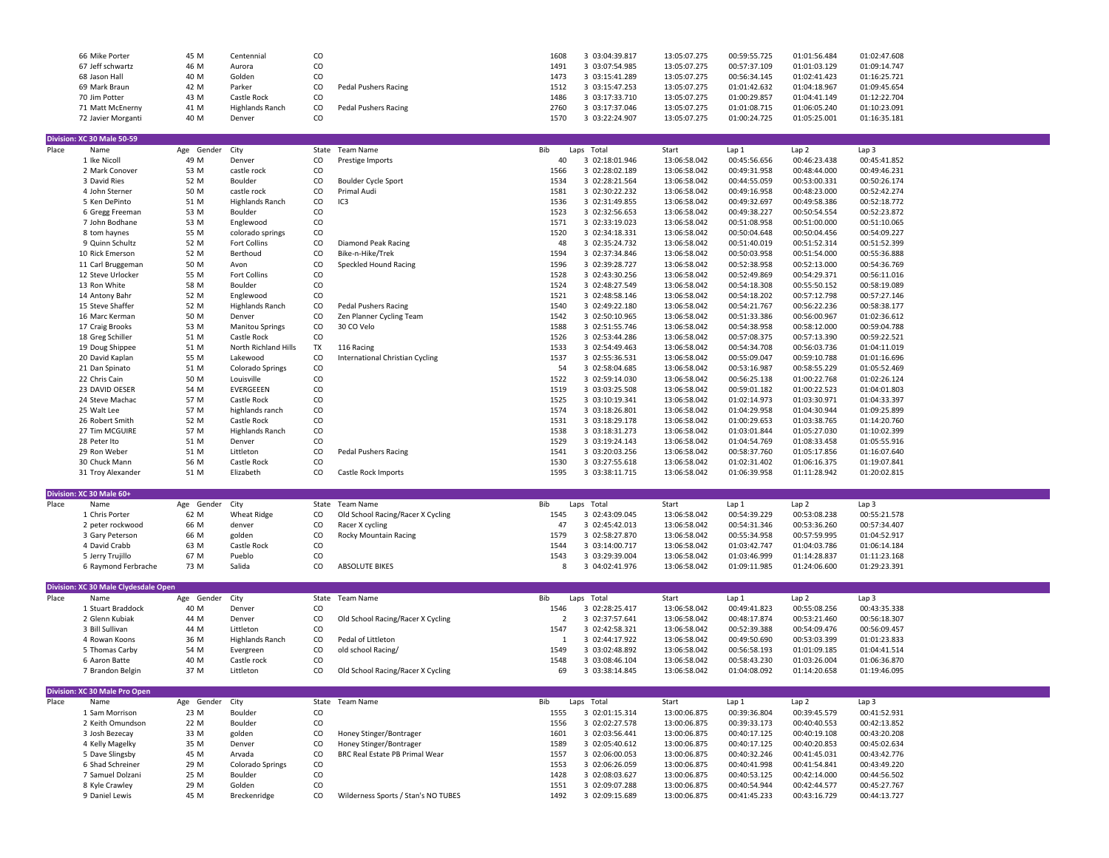| 66 Mike Porter     | 45 M | Centennial      | CO |                      | 1608 | 3 03:04:39.817 | 13:05:07.275 | 00:59:55.725 | 01:01:56.484 | 01:02:47.608 |
|--------------------|------|-----------------|----|----------------------|------|----------------|--------------|--------------|--------------|--------------|
| 67 Jeff schwartz   | 46 M | Aurora          |    |                      | 1491 | 3 03:07:54.985 | 13:05:07.275 | 00:57:37.109 | 01:01:03.129 | 01:09:14.747 |
| 68 Jason Hall      | 40 M | Golden          |    |                      | 1473 | 3 03:15:41.289 | 13:05:07.275 | 00:56:34.145 | 01:02:41.423 | 01:16:25.721 |
| 69 Mark Braun      | 42 M | Parker          | CO | Pedal Pushers Racing | 1512 | 3 03:15:47.253 | 13:05:07.275 | 01:01:42.632 | 01:04:18.967 | 01:09:45.654 |
| 70 Jim Potter      | 43 M | Castle Rock     |    |                      | 1486 | 3 03:17:33.710 | 13:05:07.275 | 01:00:29.857 | 01:04:41.149 | 01:12:22.704 |
| 71 Matt McEnerny   | 41 M | Highlands Ranch | CO | Pedal Pushers Racing | 2760 | 3 03:17:37.046 | 13:05:07.275 | 01:01:08.715 | 01:06:05.240 | 01:10:23.091 |
| 72 Javier Morganti | 40 M | Denver          |    |                      | 1570 | 03:22:24.907   | 13:05:07.275 | 01:00:24.725 | 01:05:25.001 | 01:16:35.181 |

|       | Division: XC 30 Male 50-59           |               |                        |       |                                        |                |                |              |              |              |                  |
|-------|--------------------------------------|---------------|------------------------|-------|----------------------------------------|----------------|----------------|--------------|--------------|--------------|------------------|
| Place | Name                                 | Age Gender    | City                   | State | Team Name                              | Bib            | Laps Total     | Start        | Lap 1        | Lap 2        | Lap <sub>3</sub> |
|       | 1 Ike Nicoll                         | 49 M          | Denver                 | CO    | Prestige Imports                       | 40             | 3 02:18:01.946 | 13:06:58.042 | 00:45:56.656 | 00:46:23.438 | 00:45:41.852     |
|       | 2 Mark Conover                       | 53 M          | castle rock            | CO    |                                        | 1566           | 3 02:28:02.189 | 13:06:58.042 | 00:49:31.958 | 00:48:44.000 | 00:49:46.231     |
|       |                                      |               |                        |       |                                        |                |                |              |              |              |                  |
|       | 3 David Ries                         | 52 M          | Boulder                | CO    | <b>Boulder Cycle Sport</b>             | 1534           | 3 02:28:21.564 | 13:06:58.042 | 00:44:55.059 | 00:53:00.331 | 00:50:26.174     |
|       | 4 John Sterner                       | 50 M          | castle rock            | CO    | Primal Audi                            | 1581           | 3 02:30:22.232 | 13:06:58.042 | 00:49:16.958 | 00:48:23.000 | 00:52:42.274     |
|       | 5 Ken DePinto                        | 51 M          | <b>Highlands Ranch</b> | CO    | IC <sub>3</sub>                        | 1536           | 3 02:31:49.855 | 13:06:58.042 | 00:49:32.697 | 00:49:58.386 | 00:52:18.772     |
|       | 6 Gregg Freeman                      | 53 M          | Boulder                | CO    |                                        | 1523           | 3 02:32:56.653 | 13:06:58.042 | 00:49:38.227 | 00:50:54.554 | 00:52:23.872     |
|       | 7 John Bodhane                       | 53 M          | Englewood              | CO    |                                        | 1571           | 3 02:33:19.023 | 13:06:58.042 | 00:51:08.958 | 00:51:00.000 | 00:51:10.065     |
|       | 8 tom haynes                         | 55 M          | colorado springs       | CO    |                                        | 1520           | 3 02:34:18.331 | 13:06:58.042 | 00:50:04.648 | 00:50:04.456 | 00:54:09.227     |
|       | 9 Quinn Schultz                      | 52 M          | Fort Collins           | CO    | Diamond Peak Racing                    | 48             | 3 02:35:24.732 | 13:06:58.042 | 00:51:40.019 | 00:51:52.314 | 00:51:52.399     |
|       | 10 Rick Emerson                      | 52 M          | Berthoud               | CO    | Bike-n-Hike/Trek                       | 1594           | 3 02:37:34.846 | 13:06:58.042 | 00:50:03.958 | 00:51:54.000 | 00:55:36.888     |
|       |                                      |               |                        |       |                                        |                |                |              |              |              |                  |
|       | 11 Carl Bruggeman                    | 50 M          | Avon                   | CO    | Speckled Hound Racing                  | 1596           | 3 02:39:28.727 | 13:06:58.042 | 00:52:38.958 | 00:52:13.000 | 00:54:36.769     |
|       | 12 Steve Urlocker                    | 55 M          | Fort Collins           | CO    |                                        | 1528           | 3 02:43:30.256 | 13:06:58.042 | 00:52:49.869 | 00:54:29.371 | 00:56:11.016     |
|       | 13 Ron White                         | 58 M          | Boulder                | CO    |                                        | 1524           | 3 02:48:27.549 | 13:06:58.042 | 00:54:18.308 | 00:55:50.152 | 00:58:19.089     |
|       | 14 Antony Bahr                       | 52 M          | Englewood              | CO    |                                        | 1521           | 3 02:48:58.146 | 13:06:58.042 | 00:54:18.202 | 00:57:12.798 | 00:57:27.146     |
|       | 15 Steve Shaffer                     | 52 M          | <b>Highlands Ranch</b> | CO    | <b>Pedal Pushers Racing</b>            | 1540           | 3 02:49:22.180 | 13:06:58.042 | 00:54:21.767 | 00:56:22.236 | 00:58:38.177     |
|       | 16 Marc Kerman                       | 50 M          | Denver                 | CO    | Zen Planner Cycling Team               | 1542           | 3 02:50:10.965 | 13:06:58.042 | 00:51:33.386 | 00:56:00.967 | 01:02:36.612     |
|       | 17 Craig Brooks                      | 53 M          | <b>Manitou Springs</b> | CO    | 30 CO Velo                             | 1588           | 3 02:51:55.746 | 13:06:58.042 | 00:54:38.958 | 00:58:12.000 | 00:59:04.788     |
|       | 18 Greg Schiller                     | 51 M          | Castle Rock            | CO    |                                        | 1526           | 3 02:53:44.286 | 13:06:58.042 | 00:57:08.375 | 00:57:13.390 | 00:59:22.521     |
|       |                                      |               |                        |       |                                        |                |                |              |              |              |                  |
|       | 19 Doug Shippee                      | 51 M          | North Richland Hills   | TX    | 116 Racing                             | 1533           | 3 02:54:49.463 | 13:06:58.042 | 00:54:34.708 | 00:56:03.736 | 01:04:11.019     |
|       | 20 David Kaplan                      | 55 M          | Lakewood               | CO    | <b>International Christian Cycling</b> | 1537           | 3 02:55:36.531 | 13:06:58.042 | 00:55:09.047 | 00:59:10.788 | 01:01:16.696     |
|       | 21 Dan Spinato                       | 51 M          | Colorado Springs       | CO    |                                        | 54             | 3 02:58:04.685 | 13:06:58.042 | 00:53:16.987 | 00:58:55.229 | 01:05:52.469     |
|       | 22 Chris Cain                        | 50 M          | Louisville             | CO    |                                        | 1522           | 3 02:59:14.030 | 13:06:58.042 | 00:56:25.138 | 01:00:22.768 | 01:02:26.124     |
|       | 23 DAVID OESER                       | 54 M          | EVERGEEEN              | CO    |                                        | 1519           | 3 03:03:25.508 | 13:06:58.042 | 00:59:01.182 | 01:00:22.523 | 01:04:01.803     |
|       | 24 Steve Machac                      | 57 M          | Castle Rock            | CO    |                                        | 1525           | 3 03:10:19.341 | 13:06:58.042 | 01:02:14.973 | 01:03:30.971 | 01:04:33.397     |
|       | 25 Walt Lee                          | 57 M          | highlands ranch        | CO    |                                        | 1574           | 3 03:18:26.801 | 13:06:58.042 | 01:04:29.958 | 01:04:30.944 | 01:09:25.899     |
|       | 26 Robert Smith                      | 52 M          | Castle Rock            | CO    |                                        | 1531           | 3 03:18:29.178 | 13:06:58.042 | 01:00:29.653 | 01:03:38.765 | 01:14:20.760     |
|       |                                      |               |                        |       |                                        |                |                |              |              |              |                  |
|       | 27 Tim MCGUIRE                       | 57 M          | <b>Highlands Ranch</b> | CO    |                                        | 1538           | 3 03:18:31.273 | 13:06:58.042 | 01:03:01.844 | 01:05:27.030 | 01:10:02.399     |
|       | 28 Peter Ito                         | 51 M          | Denver                 | CO    |                                        | 1529           | 3 03:19:24.143 | 13:06:58.042 | 01:04:54.769 | 01:08:33.458 | 01:05:55.916     |
|       | 29 Ron Weber                         | 51 M          | Littleton              | CO    | <b>Pedal Pushers Racing</b>            | 1541           | 3 03:20:03.256 | 13:06:58.042 | 00:58:37.760 | 01:05:17.856 | 01:16:07.640     |
|       | 30 Chuck Mann                        | 56 M          | Castle Rock            | CO    |                                        | 1530           | 3 03:27:55.618 | 13:06:58.042 | 01:02:31.402 | 01:06:16.375 | 01:19:07.841     |
|       |                                      |               |                        |       |                                        | 1595           |                |              |              |              | 01:20:02.815     |
|       | 31 Troy Alexander                    | 51 M          | Elizabeth              | CO    | Castle Rock Imports                    |                | 3 03:38:11.715 | 13:06:58.042 | 01:06:39.958 | 01:11:28.942 |                  |
|       |                                      |               |                        |       |                                        |                |                |              |              |              |                  |
|       |                                      |               |                        |       |                                        |                |                |              |              |              |                  |
|       | Division: XC 30 Male 60+             |               |                        |       |                                        |                |                |              |              |              |                  |
| Place | Name                                 | Age Gender    | City                   | State | Team Name                              | Bib            | Laps Total     | Start        | Lap1         | Lap2         | Lap <sub>3</sub> |
|       | 1 Chris Porter                       | 62 M          | <b>Wheat Ridge</b>     | CO    | Old School Racing/Racer X Cycling      | 1545           | 3 02:43:09.045 | 13:06:58.042 | 00:54:39.229 | 00:53:08.238 | 00:55:21.578     |
|       | 2 peter rockwood                     | 66 M          | denver                 | CO    | Racer X cycling                        | 47             | 3 02:45:42.013 | 13:06:58.042 | 00:54:31.346 | 00:53:36.260 | 00:57:34.407     |
|       | 3 Gary Peterson                      | 66 M          | golden                 | CO    | <b>Rocky Mountain Racing</b>           | 1579           | 3 02:58:27.870 | 13:06:58.042 | 00:55:34.958 | 00:57:59.995 | 01:04:52.917     |
|       | 4 David Crabb                        | 63 M          | Castle Rock            | CO    |                                        | 1544           | 3 03:14:00.717 | 13:06:58.042 | 01:03:42.747 | 01:04:03.786 | 01:06:14.184     |
|       | 5 Jerry Trujillo                     | 67 M          | Pueblo                 | CO    |                                        | 1543           | 3 03:29:39.004 | 13:06:58.042 | 01:03:46.999 | 01:14:28.837 | 01:11:23.168     |
|       |                                      |               |                        |       |                                        | 8              |                |              |              |              |                  |
|       | 6 Raymond Ferbrache                  | 73 M          | Salida                 | CO    | <b>ABSOLUTE BIKES</b>                  |                | 3 04:02:41.976 | 13:06:58.042 | 01:09:11.985 | 01:24:06.600 | 01:29:23.391     |
|       |                                      |               |                        |       |                                        |                |                |              |              |              |                  |
|       | Division: XC 30 Male Clydesdale Open |               |                        |       |                                        |                |                |              |              |              |                  |
| Place | Name                                 | Gender<br>Age | City                   | State | Team Name                              | Bib            | Laps Total     | Start        | Lap1         | Lap 2        | Lap <sub>3</sub> |
|       | 1 Stuart Braddock                    | 40 M          | Denver                 | CO    |                                        | 1546           | 3 02:28:25.417 | 13:06:58.042 | 00:49:41.823 | 00:55:08.256 | 00:43:35.338     |
|       | 2 Glenn Kubiak                       | 44 M          | Denver                 | CO    | Old School Racing/Racer X Cycling      | $\overline{2}$ | 3 02:37:57.641 | 13:06:58.042 | 00:48:17.874 | 00:53:21.460 | 00:56:18.307     |
|       | 3 Bill Sullivan                      | 44 M          | Littleton              | CO    |                                        | 1547           | 3 02:42:58.321 | 13:06:58.042 | 00:52:39.388 | 00:54:09.476 | 00:56:09.457     |
|       | 4 Rowan Koons                        | 36 M          | Highlands Ranch        | CO    | Pedal of Littleton                     | $\mathbf{1}$   | 3 02:44:17.922 | 13:06:58.042 | 00:49:50.690 | 00:53:03.399 | 01:01:23.833     |
|       | 5 Thomas Carby                       | 54 M          | Evergreen              | CO    | old school Racing/                     | 1549           | 3 03:02:48.892 | 13:06:58.042 | 00:56:58.193 | 01:01:09.185 | 01:04:41.514     |
|       | 6 Aaron Batte                        | 40 M          | Castle rock            | CO    |                                        | 1548           | 3 03:08:46.104 | 13:06:58.042 | 00:58:43.230 | 01:03:26.004 | 01:06:36.870     |
|       | 7 Brandon Belgin                     | 37 M          | Littleton              | CO    | Old School Racing/Racer X Cycling      | 69             | 3 03:38:14.845 | 13:06:58.042 | 01:04:08.092 | 01:14:20.658 | 01:19:46.095     |
|       |                                      |               |                        |       |                                        |                |                |              |              |              |                  |
|       | Division: XC 30 Male Pro Open        |               |                        |       |                                        |                |                |              |              |              |                  |
| Place | Name                                 |               |                        |       |                                        |                |                |              |              |              |                  |
|       |                                      | Gender<br>Age | City                   | State | Team Name                              | Bib            | Laps Total     | Start        | Lap 1        | Lap2         | Lap <sub>3</sub> |
|       | 1 Sam Morrison                       | 23 M          | Boulder                | CO    |                                        | 1555           | 3 02:01:15.314 | 13:00:06.875 | 00:39:36.804 | 00:39:45.579 | 00:41:52.931     |
|       | 2 Keith Omundson                     | 22 M          | Boulder                | CO    |                                        | 1556           | 3 02:02:27.578 | 13:00:06.875 | 00:39:33.173 | 00:40:40.553 | 00:42:13.852     |
|       | 3 Josh Bezecay                       | 33 M          | golden                 | CO    | Honey Stinger/Bontrager                | 1601           | 3 02:03:56.441 | 13:00:06.875 | 00:40:17.125 | 00:40:19.108 | 00:43:20.208     |
|       | 4 Kelly Magelky                      | 35 M          | Denver                 | CO    | Honey Stinger/Bontrager                | 1589           | 3 02:05:40.612 | 13:00:06.875 | 00:40:17.125 | 00:40:20.853 | 00:45:02.634     |
|       | 5 Dave Slingsby                      | 45 M          | Arvada                 | CO    | BRC Real Estate PB Primal Wear         | 1557           | 3 02:06:00.053 | 13:00:06.875 | 00:40:32.246 | 00:41:45.031 | 00:43:42.776     |
|       | 6 Shad Schreiner                     | 29 M          | Colorado Springs       | CO    |                                        | 1553           | 3 02:06:26.059 | 13:00:06.875 | 00:40:41.998 | 00:41:54.841 | 00:43:49.220     |
|       | 7 Samuel Dolzani                     | 25 M          | Boulder                | CO    |                                        | 1428           | 3 02:08:03.627 | 13:00:06.875 | 00:40:53.125 | 00:42:14.000 | 00:44:56.502     |

8 Kyle Crawley 29 M Golden CO CO 1551 3 02:09:07.288 13:00:06.875 00:40:54.944 00:42:44.577 00:45:27.767 80:45:27.767 00:45:27.767 00:45:27.767 00:45:27.767 00:45:27.767 00:45:27.767 00:45:27.767 00:43:16.729 00:44:13.727

 $13:00:06.875$   $00:41:45.233$   $00:43:16.729$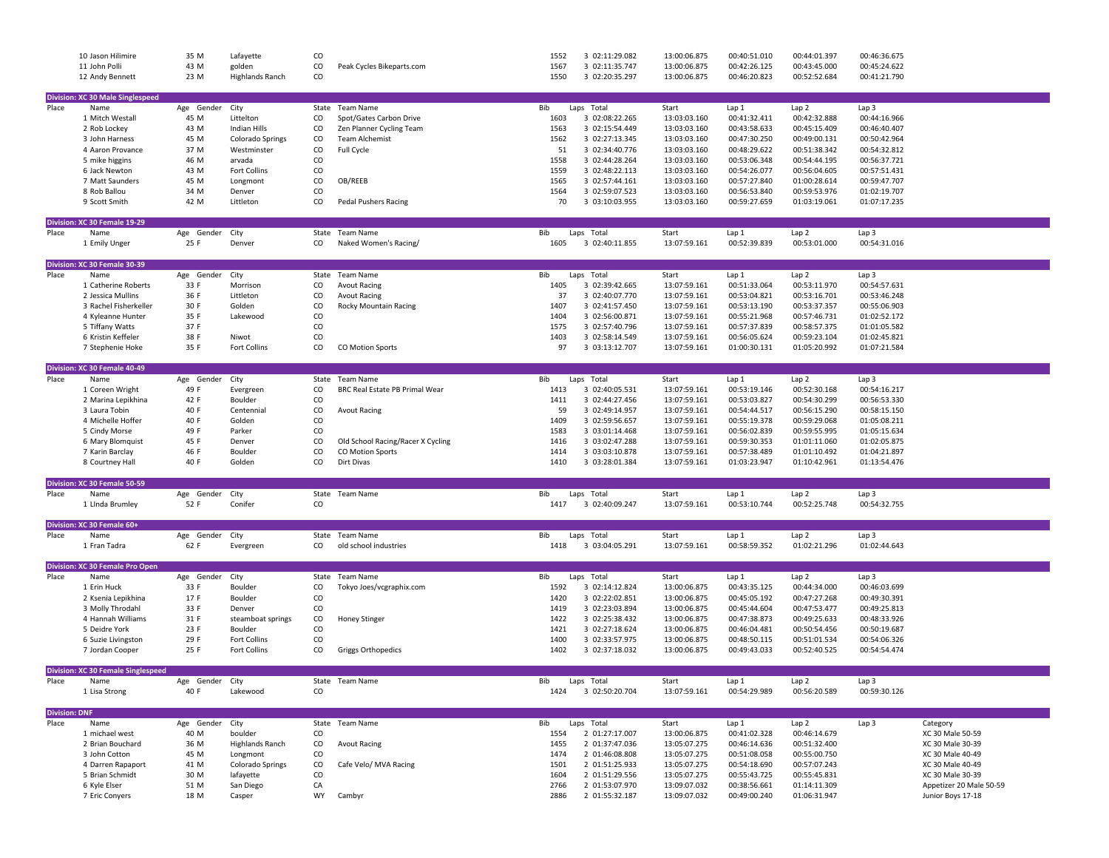|                      | 10 Jason Hilimire                         | 35 M            | Lafayette              | CO    |                                   | 1552         | 3 02:11:29.082                   | 13:00:06.875                 | 00:40:51.010 | 00:44:01.397     | 00:46:36.675                 |                         |
|----------------------|-------------------------------------------|-----------------|------------------------|-------|-----------------------------------|--------------|----------------------------------|------------------------------|--------------|------------------|------------------------------|-------------------------|
|                      | 11 John Polli                             | 43 M            | golden                 | CO    | Peak Cycles Bikeparts.com         | 1567         | 3 02:11:35.747                   | 13:00:06.875                 | 00:42:26.125 | 00:43:45.000     | 00:45:24.622                 |                         |
|                      | 12 Andy Bennett                           | 23 M            | <b>Highlands Ranch</b> | CO    |                                   | 1550         | 3 02:20:35.297                   | 13:00:06.875                 | 00:46:20.823 | 00:52:52.684     | 00:41:21.790                 |                         |
|                      | Division: XC 30 Male Singlespeed          |                 |                        |       |                                   |              |                                  |                              |              |                  |                              |                         |
| Place                | Name                                      | Age Gender      | City                   |       | State Team Name                   | Bib          | Laps Total                       | Start                        | Lap 1        | Lap 2            | Lap 3                        |                         |
|                      | 1 Mitch Westall                           | 45 M            | Littelton              | CO    | Spot/Gates Carbon Drive           | 1603         | 3 02:08:22.265                   | 13:03:03.160                 | 00:41:32.411 | 00:42:32.888     | 00:44:16.966                 |                         |
|                      | 2 Rob Lockey                              | 43 M            | Indian Hills           | CO    | Zen Planner Cycling Team          | 1563         | 3 02:15:54.449                   | 13:03:03.160                 | 00:43:58.633 | 00:45:15.409     | 00:46:40.407                 |                         |
|                      | 3 John Harness                            | 45 M            | Colorado Springs       | CO    | Team Alchemist                    | 1562         | 3 02:27:13.345                   | 13:03:03.160                 | 00:47:30.250 | 00:49:00.131     | 00:50:42.964                 |                         |
|                      | 4 Aaron Provance                          | 37 M            | Westminster            | CO    | Full Cycle                        | 51           | 3 02:34:40.776                   | 13:03:03.160                 | 00:48:29.622 | 00:51:38.342     | 00:54:32.812                 |                         |
|                      | 5 mike higgins                            | 46 M            | arvada                 | CO    |                                   | 1558         | 3 02:44:28.264                   | 13:03:03.160                 | 00:53:06.348 | 00:54:44.195     | 00:56:37.721                 |                         |
|                      | 6 Jack Newton                             | 43 M            | Fort Collins           | CO    |                                   | 1559         | 3 02:48:22.113                   | 13:03:03.160                 | 00:54:26.077 | 00:56:04.605     | 00:57:51.431                 |                         |
|                      | 7 Matt Saunders                           | 45 M            | Longmont               | CO    | OB/REEB                           | 1565         | 3 02:57:44.161                   | 13:03:03.160                 | 00:57:27.840 | 01:00:28.614     | 00:59:47.707                 |                         |
|                      | 8 Rob Ballou                              | 34 M            | Denver                 | CO    |                                   | 1564         | 3 02:59:07.523                   | 13:03:03.160                 | 00:56:53.840 | 00:59:53.976     | 01:02:19.707                 |                         |
|                      | 9 Scott Smith                             | 42 M            | Littleton              | CO    | <b>Pedal Pushers Racing</b>       | 70           | 3 03:10:03.955                   | 13:03:03.160                 | 00:59:27.659 | 01:03:19.061     | 01:07:17.235                 |                         |
|                      | Division: XC 30 Female 19-29              |                 |                        |       |                                   |              |                                  |                              |              |                  |                              |                         |
| Place                | Name                                      | Age Gender      | City                   |       | State Team Name                   | Bib          | Laps Total                       | Start                        | Lap 1        | Lap <sub>2</sub> | Lap 3                        |                         |
|                      | 1 Emily Unger                             | 25 F            | Denver                 | CO    | Naked Women's Racing/             | 1605         | 3 02:40:11.855                   | 13:07:59.161                 | 00:52:39.839 | 00:53:01.000     | 00:54:31.016                 |                         |
|                      | Division: XC 30 Female 30-39              |                 |                        |       |                                   |              |                                  |                              |              |                  |                              |                         |
| Place                | Name                                      | Age Gender      | City                   |       | State Team Name                   | Bib          | Laps Total                       | Start                        | Lap 1        | Lap <sub>2</sub> | Lap 3                        |                         |
|                      | 1 Catherine Roberts                       | 33 F            | Morrison               | CO    | <b>Avout Racing</b>               | 1405         | 3 02:39:42.665                   | 13:07:59.161                 | 00:51:33.064 | 00:53:11.970     | 00:54:57.631                 |                         |
|                      | 2 Jessica Mullins                         | 36 F            | Littleton              | CO    | <b>Avout Racing</b>               | 37           | 3 02:40:07.770                   | 13:07:59.161                 | 00:53:04.821 | 00:53:16.701     | 00:53:46.248                 |                         |
|                      | 3 Rachel Fisherkeller                     | 30 F            | Golden                 | CO    | Rocky Mountain Racing             | 1407         | 3 02:41:57.450                   | 13:07:59.161                 | 00:53:13.190 | 00:53:37.357     | 00:55:06.903                 |                         |
|                      | 4 Kyleanne Hunter                         | 35 F            | Lakewood               | CO    |                                   | 1404         | 3 02:56:00.871                   | 13:07:59.161                 | 00:55:21.968 | 00:57:46.731     | 01:02:52.172                 |                         |
|                      | 5 Tiffany Watts                           | 37 F            |                        | CO    |                                   | 1575         | 3 02:57:40.796                   | 13:07:59.161                 | 00:57:37.839 | 00:58:57.375     | 01:01:05.582                 |                         |
|                      | 6 Kristin Keffeler                        | 38 F            | Niwot                  | CO    |                                   | 1403         | 3 02:58:14.549                   | 13:07:59.161                 | 00:56:05.624 | 00:59:23.104     | 01:02:45.821                 |                         |
|                      | 7 Stephenie Hoke                          | 35 F            | Fort Collins           | CO    | CO Motion Sports                  | 97           | 3 03:13:12.707                   | 13:07:59.161                 | 01:00:30.131 | 01:05:20.992     | 01:07:21.584                 |                         |
|                      |                                           |                 |                        |       |                                   |              |                                  |                              |              |                  |                              |                         |
|                      | Division: XC 30 Female 40-49              |                 |                        |       |                                   |              |                                  |                              |              |                  |                              |                         |
| Place                | Name                                      | Age Gender      | City                   |       | State Team Name                   | Bib          | Laps Total                       | Start                        | Lap 1        | Lap 2            | Lap 3                        |                         |
|                      | 1 Coreen Wright                           | 49 F            | Evergreen              | CO    | BRC Real Estate PB Primal Wear    | 1413         | 3 02:40:05.531                   | 13:07:59.161                 | 00:53:19.146 | 00:52:30.168     | 00:54:16.217                 |                         |
|                      | 2 Marina Lepikhina                        | 42 F            | Boulder                | CO    |                                   | 1411         | 3 02:44:27.456                   | 13:07:59.161                 | 00:53:03.827 | 00:54:30.299     | 00:56:53.330                 |                         |
|                      | 3 Laura Tobin                             | 40 F            | Centennial             | CO    | <b>Avout Racing</b>               | 59           | 3 02:49:14.957                   | 13:07:59.161                 | 00:54:44.517 | 00:56:15.290     | 00:58:15.150                 |                         |
|                      | 4 Michelle Hoffer                         | 40 F            | Golden                 | CO    |                                   | 1409         | 3 02:59:56.657                   | 13:07:59.161                 | 00:55:19.378 | 00:59:29.068     | 01:05:08.211                 |                         |
|                      | 5 Cindy Morse                             | 49 F            | Parker                 | CO    |                                   | 1583         | 3 03:01:14.468                   | 13:07:59.161                 | 00:56:02.839 | 00:59:55.995     | 01:05:15.634                 |                         |
|                      | 6 Mary Blomquist                          | 45 F            | Denver                 | CO    | Old School Racing/Racer X Cycling | 1416         | 3 03:02:47.288                   | 13:07:59.161                 | 00:59:30.353 | 01:01:11.060     | 01:02:05.875                 |                         |
|                      | 7 Karin Barclay                           | 46 F            | Boulder                | CO    | <b>CO Motion Sports</b>           | 1414         | 3 03:03:10.878                   | 13:07:59.161                 | 00:57:38.489 | 01:01:10.492     | 01:04:21.897                 |                         |
|                      | 8 Courtney Hall                           | 40 F            | Golden                 | CO    | Dirt Divas                        | 1410         | 3 03:28:01.384                   | 13:07:59.161                 | 01:03:23.947 | 01:10:42.961     | 01:13:54.476                 |                         |
|                      | Division: XC 30 Female 50-59              |                 |                        |       |                                   |              |                                  |                              |              |                  |                              |                         |
| Place                | Name                                      | Age Gender      | City                   | State | Team Name                         | Bib          | Laps Total                       | Start                        | Lap 1        | Lap <sub>2</sub> | Lap 3                        |                         |
|                      | 1 Linda Brumley                           | 52 F            | Conifer                | CO    |                                   | 1417         | 3 02:40:09.247                   | 13:07:59.161                 | 00:53:10.744 | 00:52:25.748     | 00:54:32.755                 |                         |
|                      | Division: XC 30 Female 60+                |                 |                        |       |                                   |              |                                  |                              |              |                  |                              |                         |
| Place                | Name                                      | Age Gender      | City                   |       | State Team Name                   | Bib          | Laps Total                       | Start                        | Lap 1        | Lap <sub>2</sub> | Lap 3                        |                         |
|                      | 1 Fran Tadra                              | 62 F            | Evergreen              | CO    | old school industries             | 1418         | 3 03:04:05.291                   | 13:07:59.161                 | 00:58:59.352 | 01:02:21.296     | 01:02:44.643                 |                         |
|                      |                                           |                 |                        |       |                                   |              |                                  |                              |              |                  |                              |                         |
|                      | Division: XC 30 Female Pro Open           |                 |                        |       |                                   |              |                                  |                              |              |                  |                              |                         |
| Place                | Name                                      | Age Gender      | City                   | State | Team Name                         | Bib          | Laps Total<br>3 02:14:12.824     | Start                        | Lap 1        | Lap <sub>2</sub> | Lap 3                        |                         |
|                      | 1 Erin Huck                               | 33 F            | Boulder                | CO    | Tokyo Joes/vcgraphix.com          | 1592         |                                  | 13:00:06.875                 | 00:43:35.125 | 00:44:34.000     | 00:46:03.699                 |                         |
|                      | 2 Ksenia Lepikhina<br>3 Molly Throdahl    | 17 F<br>33 F    | Boulder                | CO    |                                   | 1420<br>1419 | 3 02:22:02.851<br>3 02:23:03.894 | 13:00:06.875                 | 00:45:05.192 | 00:47:27.268     | 00:49:30.391<br>00:49:25.813 |                         |
|                      |                                           |                 | Denver                 | CO    |                                   |              |                                  | 13:00:06.875                 | 00:45:44.604 | 00:47:53.477     |                              |                         |
|                      | 4 Hannah Williams                         | 31 F            | steamboat springs      | CO    | <b>Honey Stinger</b>              | 1422         | 3 02:25:38.432                   | 13:00:06.875                 | 00:47:38.873 | 00:49:25.633     | 00:48:33.926                 |                         |
|                      | 5 Deidre York                             | 23 F            | Boulder                | CO    |                                   | 1421         | 3 02:27:18.624                   | 13:00:06.875                 | 00:46:04.481 | 00:50:54.456     | 00:50:19.687                 |                         |
|                      | 6 Suzie Livingston                        | 29 F            | Fort Collins           | CO    |                                   | 1400         | 3 02:33:57.975                   | 13:00:06.875<br>13:00:06.875 | 00:48:50.115 | 00:51:01.534     | 00:54:06.326<br>00:54:54.474 |                         |
|                      | 7 Jordan Cooper                           | 25 F            | Fort Collins           | CO    | <b>Griggs Orthopedics</b>         | 1402         | 3 02:37:18.032                   |                              | 00:49:43.033 | 00:52:40.525     |                              |                         |
|                      | <b>Division: XC 30 Female Singlespeed</b> |                 |                        |       |                                   |              |                                  |                              |              |                  |                              |                         |
| Place                | Name                                      | Age Gender City |                        |       | State Team Name                   | Bib          | Laps Total                       | Start                        | Lap 1        | Lap 2            | Lap 3                        |                         |
|                      | 1 Lisa Strong                             | 40 F            | Lakewood               | CO    |                                   | 1424         | 3 02:50:20.704                   | 13:07:59.161                 | 00:54:29.989 | 00:56:20.589     | 00:59:30.126                 |                         |
| <b>Division: DNF</b> |                                           |                 |                        |       |                                   |              |                                  |                              |              |                  |                              |                         |
| Place                | Name                                      | Age Gender      | City                   |       | State Team Name                   | Bib          | Laps Total                       | Start                        | Lap 1        | Lap 2            | Lap 3                        | Category                |
|                      | 1 michael west                            | 40 M            | boulder                | CO    |                                   | 1554         | 2 01:27:17.007                   | 13:00:06.875                 | 00:41:02.328 | 00:46:14.679     |                              | XC 30 Male 50-59        |
|                      | 2 Brian Bouchard                          | 36 M            | <b>Highlands Ranch</b> | CO    | <b>Avout Racing</b>               | 1455         | 2 01:37:47.036                   | 13:05:07.275                 | 00:46:14.636 | 00:51:32.400     |                              | XC 30 Male 30-39        |
|                      | 3 John Cotton                             | 45 M            | Longmont               | CO    |                                   | 1474         | 2 01:46:08.808                   | 13:05:07.275                 | 00:51:08.058 | 00:55:00.750     |                              | XC 30 Male 40-49        |
|                      | 4 Darren Rapaport                         | 41 M            | Colorado Springs       | CO    | Cafe Velo/ MVA Racing             | 1501         | 2 01:51:25.933                   | 13:05:07.275                 | 00:54:18.690 | 00:57:07.243     |                              | XC 30 Male 40-49        |
|                      | 5 Brian Schmidt                           | 30 M            | lafayette              | CO    |                                   | 1604         | 2 01:51:29.556                   | 13:05:07.275                 | 00:55:43.725 | 00:55:45.831     |                              | XC 30 Male 30-39        |
|                      | 6 Kyle Elser                              | 51 M            | San Diego              | CA    |                                   | 2766         | 2 01:53:07.970                   | 13:09:07.032                 | 00:38:56.661 | 01:14:11.309     |                              | Appetizer 20 Male 50-59 |
|                      | 7 Eric Conyers                            | 18 M            | Casper                 | WY    | Cambyr                            | 2886         | 2 01:55:32.187                   | 13:09:07.032                 | 00:49:00.240 | 01:06:31.947     |                              | Junior Boys 17-18       |
|                      |                                           |                 |                        |       |                                   |              |                                  |                              |              |                  |                              |                         |